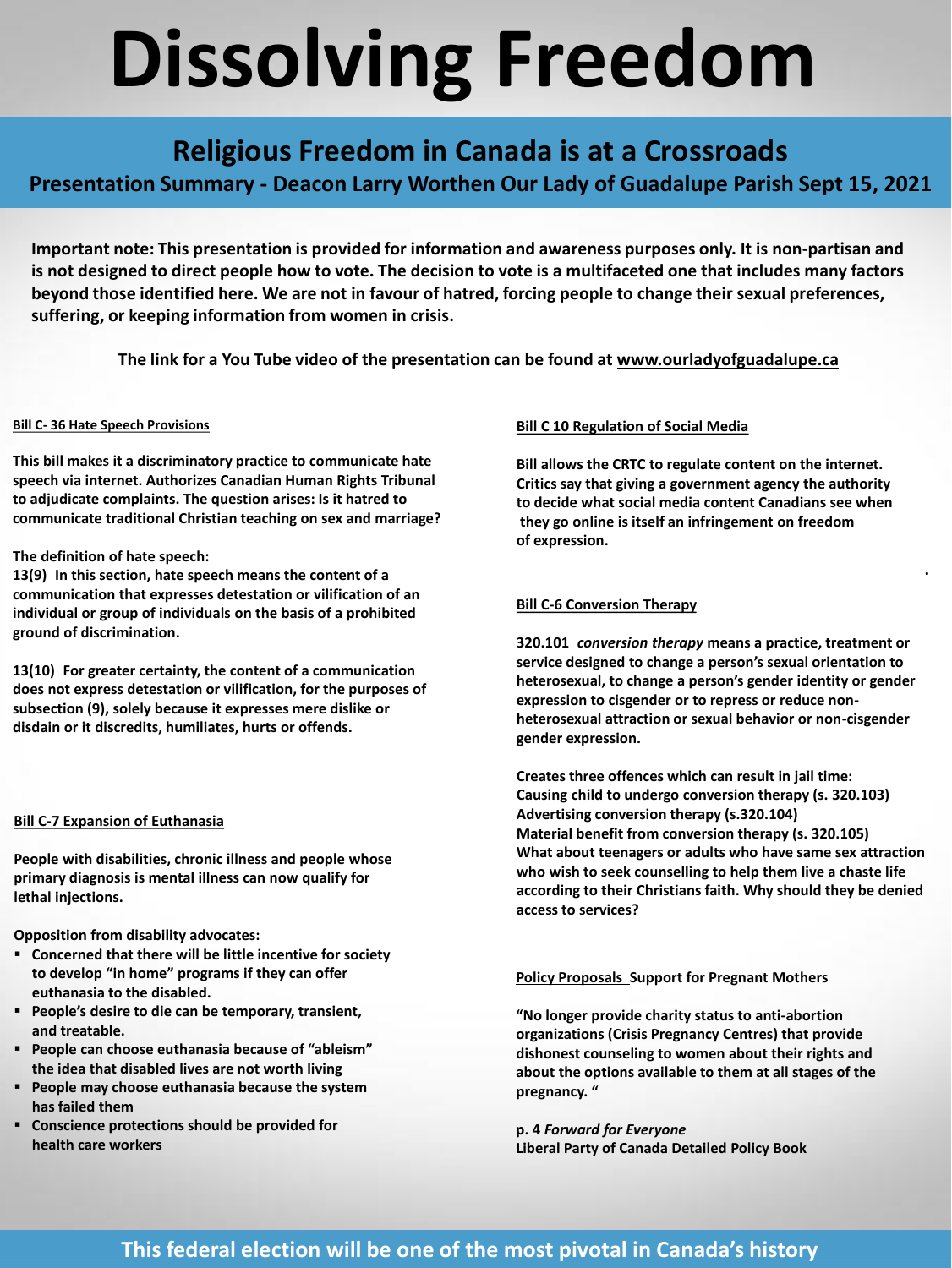# **Dissolving Freedom**

## **Religious Freedom in Canada is at a Crossroads**

**Presentation Summary - Deacon Larry Worthen Our Lady of Guadalupe Parish Sept 15, 2021**

Important note: This presentation is provided for information and awareness purposes only. It is non-partisan and is not designed to direct people how to vote. The decision to vote is a multifaceted one that includes many factors beyond those identified here. We are not in favour of hatred, forcing people to change their sexual preferences, **suffering, or keeping information from women in crisis.**

**The link for a You Tube video of the presentation can be found at [www.ourladyofguadalupe.ca](http://www.ourladyofguadalupe.ca/)**

#### **Bill C- 36 Hate Speech Provisions**

**This bill makes it a discriminatory practice to communicate hate speech via internet. Authorizes Canadian Human Rights Tribunal to adjudicate complaints. The question arises: Is it hatred to communicate traditional Christian teaching on sex and marriage?** 

#### **The definition of hate speech:**

**13(9) In this section, hate speech means the content of a communication that expresses detestation or vilification of an individual or group of individuals on the basis of a prohibited ground of discrimination.** 

**13(10) For greater certainty, the content of a communication does not express detestation or vilification, for the purposes of subsection (9), solely because it expresses mere dislike or disdain or it discredits, humiliates, hurts or offends.**

#### **Bill C-7 Expansion of Euthanasia**

**People with disabilities, chronic illness and people whose primary diagnosis is mental illness can now qualify for lethal injections.**

**Opposition from disability advocates:** 

- **Concerned that there will be little incentive for society to develop "in home" programs if they can offer euthanasia to the disabled.**
- People's desire to die can be temporary, transient, **and treatable.**
- **People can choose euthanasia because of "ableism" the idea that disabled lives are not worth living**
- **People may choose euthanasia because the system has failed them**
- **Conscience protections should be provided for health care workers**

#### **Bill C 10 Regulation of Social Media**

**Bill allows the CRTC to regulate content on the internet. Critics say that giving a government agency the authority to decide what social media content Canadians see when they go online is itself an infringement on freedom of expression.** 

#### **Bill C-6 Conversion Therapy**

**320. 101** *conversion therapy* **means a practice, treatment or service designed to change a person's sexual orientation to heterosexual, to change a person's gender identity or gender expression to cisgender or to repress or reduce nonheterosexual attraction or sexual behavior or non-cisgender gender expression.**

.

**Creates three offences which can result in jail time: Causing child to undergo conversion therapy (s. 320.103) Advertising conversion therapy (s.320.104) Material benefit from conversion therapy (s. 320.105) What about teenagers or adults who have same sex attraction who wish to seek counselling to help them live a chaste life according to their Christians faith. Why should they be denied access to services?** 

#### **Policy Proposals Support for Pregnant Mothers**

**"No longer provide charity status to anti-abortion organizations (Crisis Pregnancy Centres) that provide dishonest counseling to women about their rights and about the options available to them at all stages of the pregnancy. "** 

**p. 4** *Forward for Everyone* **Liberal Party of Canada Detailed Policy Book** 

### **This federal election will be one of the most pivotal in Canada's history**